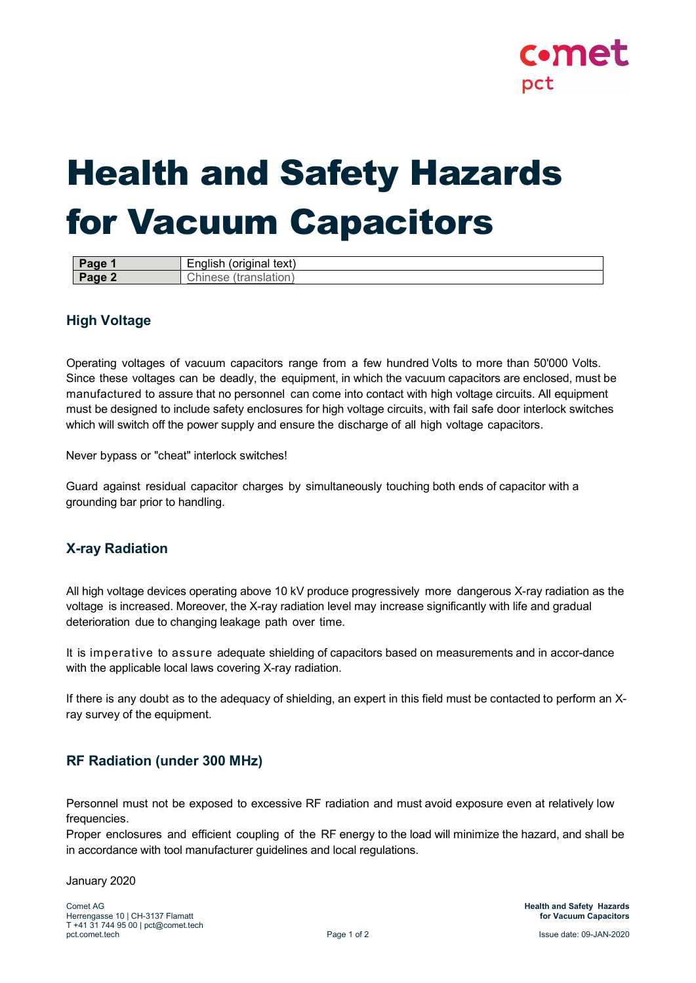

# <span id="page-0-0"></span>Health and Safety Hazards for Vacuum Capacitors

| aue<br>wy. | original<br>text.<br>.<br>$\sim$<br>. יישוני<br>-- |
|------------|----------------------------------------------------|
| <b>OC</b>  | ш.                                                 |
| $-1.1$     | .                                                  |

## **High Voltage**

Operating voltages of vacuum capacitors range from a few hundred Volts to more than 50'000 Volts. Since these voltages can be deadly, the equipment, in which the vacuum capacitors are enclosed, must be manufactured to assure that no personnel can come into contact with high voltage circuits. All equipment must be designed to include safety enclosures for high voltage circuits, with fail safe door interlock switches which will switch off the power supply and ensure the discharge of all high voltage capacitors.

Never bypass or "cheat" interlock switches!

Guard against residual capacitor charges by simultaneously touching both ends of capacitor with a grounding bar prior to handling.

## **X-ray Radiation**

All high voltage devices operating above 10 kV produce progressively more dangerous X-ray radiation as the voltage is increased. Moreover, the X-ray radiation level may increase significantly with life and gradual deterioration due to changing leakage path over time.

It is imperative to assure adequate shielding of capacitors based on measurements and in accor-dance with the applicable local laws covering X-ray radiation.

If there is any doubt as to the adequacy of shielding, an expert in this field must be contacted to perform an Xray survey of the equipment.

### **RF Radiation (under 300 MHz)**

Personnel must not be exposed to excessive RF radiation and must avoid exposure even at relatively low frequencies.

Proper enclosures and efficient coupling of the RF energy to the load will minimize the hazard, and shall be in accordance with tool manufacturer guidelines and local regulations.

January 2020